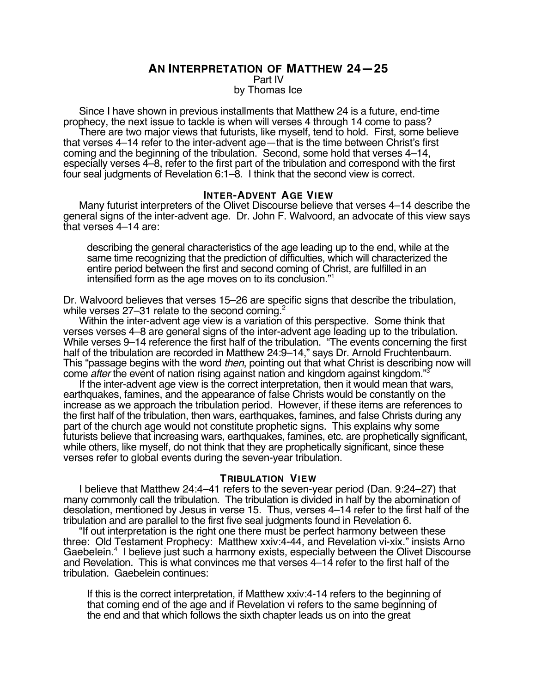## **AN INTERPRETATION OF MATTHEW 24—25**

Part IV

by Thomas Ice

Since I have shown in previous installments that Matthew 24 is a future, end-time prophecy, the next issue to tackle is when will verses 4 through 14 come to pass?

There are two major views that futurists, like myself, tend to hold. First, some believe that verses 4–14 refer to the inter-advent age—that is the time between Christ's first coming and the beginning of the tribulation. Second, some hold that verses 4–14, especially verses 4–8, refer to the first part of the tribulation and correspond with the first four seal judgments of Revelation 6:1–8. I think that the second view is correct.

### **INTER-ADVENT AGE VIEW**

Many futurist interpreters of the Olivet Discourse believe that verses 4–14 describe the general signs of the inter-advent age. Dr. John F. Walvoord, an advocate of this view says that verses 4–14 are:

describing the general characteristics of the age leading up to the end, while at the same time recognizing that the prediction of difficulties, which will characterized the entire period between the first and second coming of Christ, are fulfilled in an intensified form as the age moves on to its conclusion."1

Dr. Walvoord believes that verses 15–26 are specific signs that describe the tribulation, while verses 27–31 relate to the second coming.<sup>2</sup>

Within the inter-advent age view is a variation of this perspective. Some think that verses verses 4–8 are general signs of the inter-advent age leading up to the tribulation. While verses 9–14 reference the first half of the tribulation. "The events concerning the first half of the tribulation are recorded in Matthew 24:9-14," says Dr. Arnold Fruchtenbaum. This "passage begins with the word *then*, pointing out that what Christ is describing now will come *after* the event of nation rising against nation and kingdom against kingdom."

If the inter-advent age view is the correct interpretation, then it would mean that wars, earthquakes, famines, and the appearance of false Christs would be constantly on the increase as we approach the tribulation period. However, if these items are references to the first half of the tribulation, then wars, earthquakes, famines, and false Christs during any part of the church age would not constitute prophetic signs. This explains why some futurists believe that increasing wars, earthquakes, famines, etc. are prophetically significant, while others, like myself, do not think that they are prophetically significant, since these verses refer to global events during the seven-year tribulation.

### **TRIBULATION VIEW**

I believe that Matthew 24:4–41 refers to the seven-year period (Dan. 9:24–27) that many commonly call the tribulation. The tribulation is divided in half by the abomination of desolation, mentioned by Jesus in verse 15. Thus, verses 4–14 refer to the first half of the tribulation and are parallel to the first five seal judgments found in Revelation 6.

"If out interpretation is the right one there must be perfect harmony between these three: Old Testament Prophecy: Matthew xxiv:4-44, and Revelation vi-xix." insists Arno Gaebelein.<sup>4</sup> I believe just such a harmony exists, especially between the Olivet Discourse and Revelation. This is what convinces me that verses 4–14 refer to the first half of the tribulation. Gaebelein continues:

If this is the correct interpretation, if Matthew xxiv:4-14 refers to the beginning of that coming end of the age and if Revelation vi refers to the same beginning of the end and that which follows the sixth chapter leads us on into the great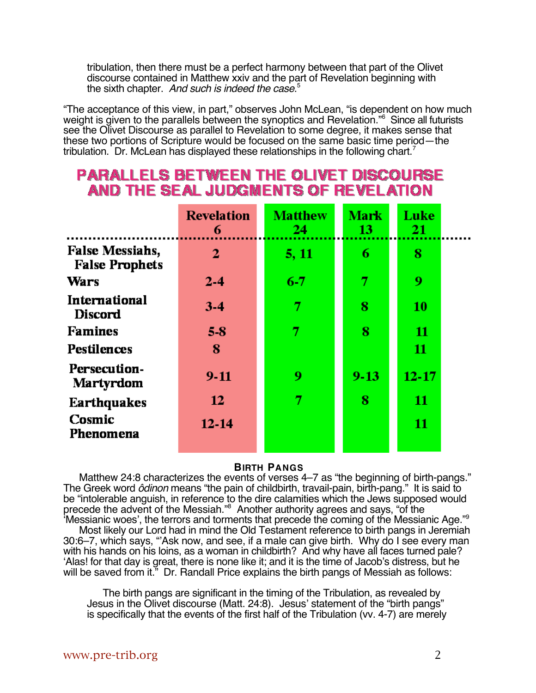tribulation, then there must be a perfect harmony between that part of the Olivet discourse contained in Matthew xxiv and the part of Revelation beginning with the sixth chapter. And such is indeed the case.<sup>5</sup>

"The acceptance of this view, in part," observes John McLean, "is dependent on how much weight is given to the parallels between the synoptics and Revelation."<sup>6</sup> Since all futurists see the Olivet Discourse as parallel to Revelation to some degree, it makes sense that these two portions of Scripture would be focused on the same basic time period—the tribulation. Dr. McLean has displayed these relationships in the following chart.7

# **PARALLELS BETWEEN THE OLIVET DISCOURSE** AND THE SEAL JUDGMENTS OF REVELATION

|                                                 | <b>Revelation</b><br>6 | <b>Matthew</b><br>24 | <b>Mark</b><br>13 | Luke<br>21 |  |
|-------------------------------------------------|------------------------|----------------------|-------------------|------------|--|
| <b>False Messiahs,</b><br><b>False Prophets</b> | 2                      | 5, 11                | 6                 | 8          |  |
| Wars                                            | $2 - 4$                | $6-7$                | 7                 | 9          |  |
| International<br><b>Discord</b>                 | $3-4$                  | 7                    | 8                 | 10         |  |
| <b>Famines</b>                                  | 58                     | 7                    | 8                 | 11         |  |
| <b>Pestilences</b>                              | 8                      |                      |                   | 11         |  |
| Persecution-<br><b>Martyrdom</b>                | $9-11$                 | 9                    | $9 - 13$          | $12 - 17$  |  |
| <b>Earthquakes</b>                              | 12                     | 7                    | 8                 | 11         |  |
| Cosmic<br>Phenomena                             | $12 - 14$              |                      |                   | 11         |  |
|                                                 |                        |                      |                   |            |  |

### **BIRTH PANGS**

Matthew 24:8 characterizes the events of verses 4–7 as "the beginning of birth-pangs." The Greek word ôdinon means "the pain of childbirth, travail-pain, birth-pang." It is said to be "intolerable anguish, in reference to the dire calamities which the Jews supposed would precede the advent of the Messiah."<sup>8</sup> Another authority agrees and says, "of the 'Messianic woes', the terrors and torments that precede the coming of the Messianic Age."9

Most likely our Lord had in mind the Old Testament reference to birth pangs in Jeremiah 30:6–7, which says, "'Ask now, and see, if a male can give birth. Why do I see every man with his hands on his loins, as a woman in childbirth? And why have all faces turned pale? 'Alas! for that day is great, there is none like it; and it is the time of Jacob's distress, but he will be saved from it." Dr. Randall Price explains the birth pangs of Messiah as follows:

The birth pangs are significant in the timing of the Tribulation, as revealed by Jesus in the Olivet discourse (Matt. 24:8). Jesus' statement of the "birth pangs" is specifically that the events of the first half of the Tribulation (vv. 4-7) are merely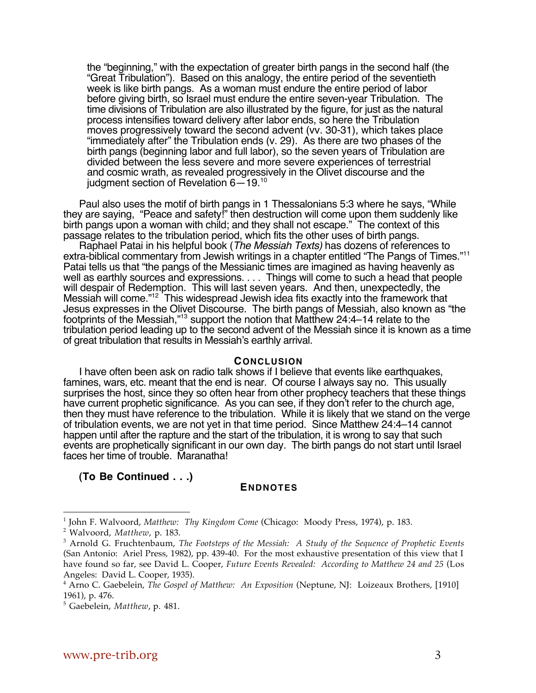the "beginning," with the expectation of greater birth pangs in the second half (the "Great Tribulation"). Based on this analogy, the entire period of the seventieth week is like birth pangs. As a woman must endure the entire period of labor before giving birth, so Israel must endure the entire seven-year Tribulation. The time divisions of Tribulation are also illustrated by the figure, for just as the natural process intensifies toward delivery after labor ends, so here the Tribulation moves progressively toward the second advent (vv. 30-31), which takes place "immediately after" the Tribulation ends (v. 29). As there are two phases of the birth pangs (beginning labor and full labor), so the seven years of Tribulation are divided between the less severe and more severe experiences of terrestrial and cosmic wrath, as revealed progressively in the Olivet discourse and the judgment section of Revelation 6—19.10

Paul also uses the motif of birth pangs in 1 Thessalonians 5:3 where he says, "While they are saying, "Peace and safety!" then destruction will come upon them suddenly like birth pangs upon a woman with child; and they shall not escape." The context of this passage relates to the tribulation period, which fits the other uses of birth pangs.

Raphael Patai in his helpful book (The Messiah Texts) has dozens of references to extra-biblical commentary from Jewish writings in a chapter entitled "The Pangs of Times."<sup>11</sup> Patai tells us that "the pangs of the Messianic times are imagined as having heavenly as well as earthly sources and expressions. . . . Things will come to such a head that people will despair of Redemption. This will last seven years. And then, unexpectedly, the Messiah will come."<sup>12</sup> This widespread Jewish idea fits exactly into the framework that Jesus expresses in the Olivet Discourse. The birth pangs of Messiah, also known as "the footprints of the Messiah,"<sup>13</sup> support the notion that Matthew 24:4–14 relate to the tribulation period leading up to the second advent of the Messiah since it is known as a time of great tribulation that results in Messiah's earthly arrival.

### **CONCLUSION**

I have often been ask on radio talk shows if I believe that events like earthquakes, famines, wars, etc. meant that the end is near. Of course I always say no. This usually surprises the host, since they so often hear from other prophecy teachers that these things have current prophetic significance. As you can see, if they don't refer to the church age, then they must have reference to the tribulation. While it is likely that we stand on the verge of tribulation events, we are not yet in that time period. Since Matthew 24:4–14 cannot happen until after the rapture and the start of the tribulation, it is wrong to say that such events are prophetically significant in our own day. The birth pangs do not start until Israel faces her time of trouble. Maranatha!

**(To Be Continued . . .)**

### **ENDNOTES**

 $\overline{a}$ 

<sup>1</sup> John F. Walvoord, *Matthew: Thy Kingdom Come* (Chicago: Moody Press, 1974), p. 183.

<sup>2</sup> Walvoord, *Matthew*, p. 183.

<sup>3</sup> Arnold G. Fruchtenbaum, *The Footsteps of the Messiah: A Study of the Sequence of Prophetic Events* (San Antonio: Ariel Press, 1982), pp. 439-40. For the most exhaustive presentation of this view that I have found so far, see David L. Cooper, *Future Events Revealed: According to Matthew 24 and 25* (Los Angeles: David L. Cooper, 1935).

<sup>4</sup> Arno C. Gaebelein, *The Gospel of Matthew: An Exposition* (Neptune, NJ: Loizeaux Brothers, [1910] 1961), p. 476.

<sup>5</sup> Gaebelein, *Matthew*, p. 481.